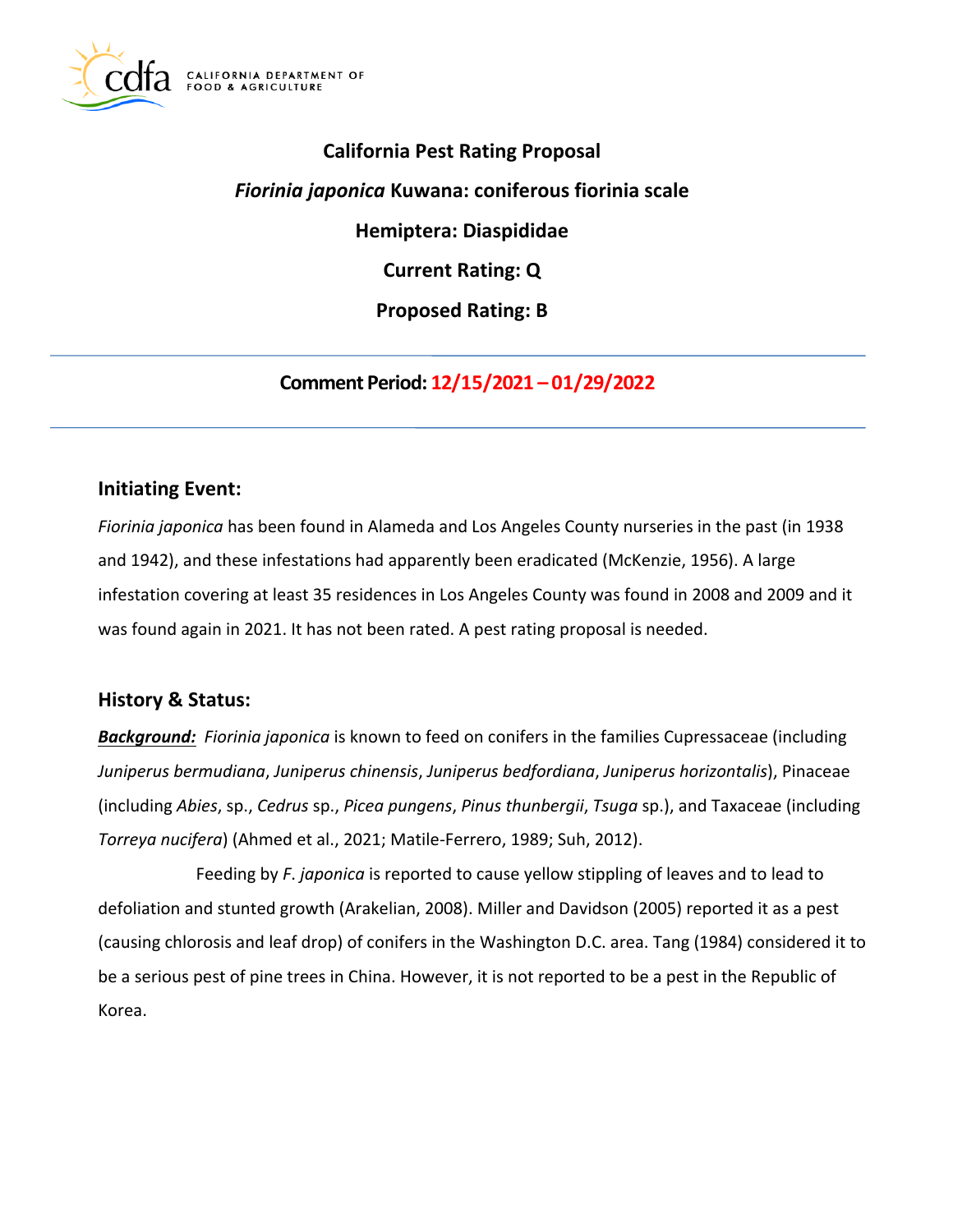

# **California Pest Rating Proposal**

*Fiorinia japonica* **Kuwana: coniferous fiorinia scale** 

**Hemiptera: Diaspididae** 

**Current Rating: Q** 

**Proposed Rating: B** 

**Comment Period: 12/15/2021 – 01/29/2022** 

# **Initiating Event:**

*Fiorinia japonica* has been found in Alameda and Los Angeles County nurseries in the past (in 1938 and 1942), and these infestations had apparently been eradicated (McKenzie, 1956). A large infestation covering at least 35 residences in Los Angeles County was found in 2008 and 2009 and it was found again in 2021. It has not been rated. A pest rating proposal is needed.

# **History & Status:**

*Background: Fiorinia japonica* is known to feed on conifers in the families Cupressaceae (including *Juniperus bermudiana*, *Juniperus chinensis*, *Juniperus bedfordiana*, *Juniperus horizontalis*), Pinaceae (including *Abies*, sp., *Cedrus* sp., *Picea pungens*, *Pinus thunbergii*, *Tsuga* sp.), and Taxaceae (including *Torreya nucifera*) (Ahmed et al., 2021; Matile-Ferrero, 1989; Suh, 2012).

Feeding by *F*. *japonica* is reported to cause yellow stippling of leaves and to lead to defoliation and stunted growth (Arakelian, 2008). Miller and Davidson (2005) reported it as a pest (causing chlorosis and leaf drop) of conifers in the Washington D.C. area. Tang (1984) considered it to be a serious pest of pine trees in China. However, it is not reported to be a pest in the Republic of Korea.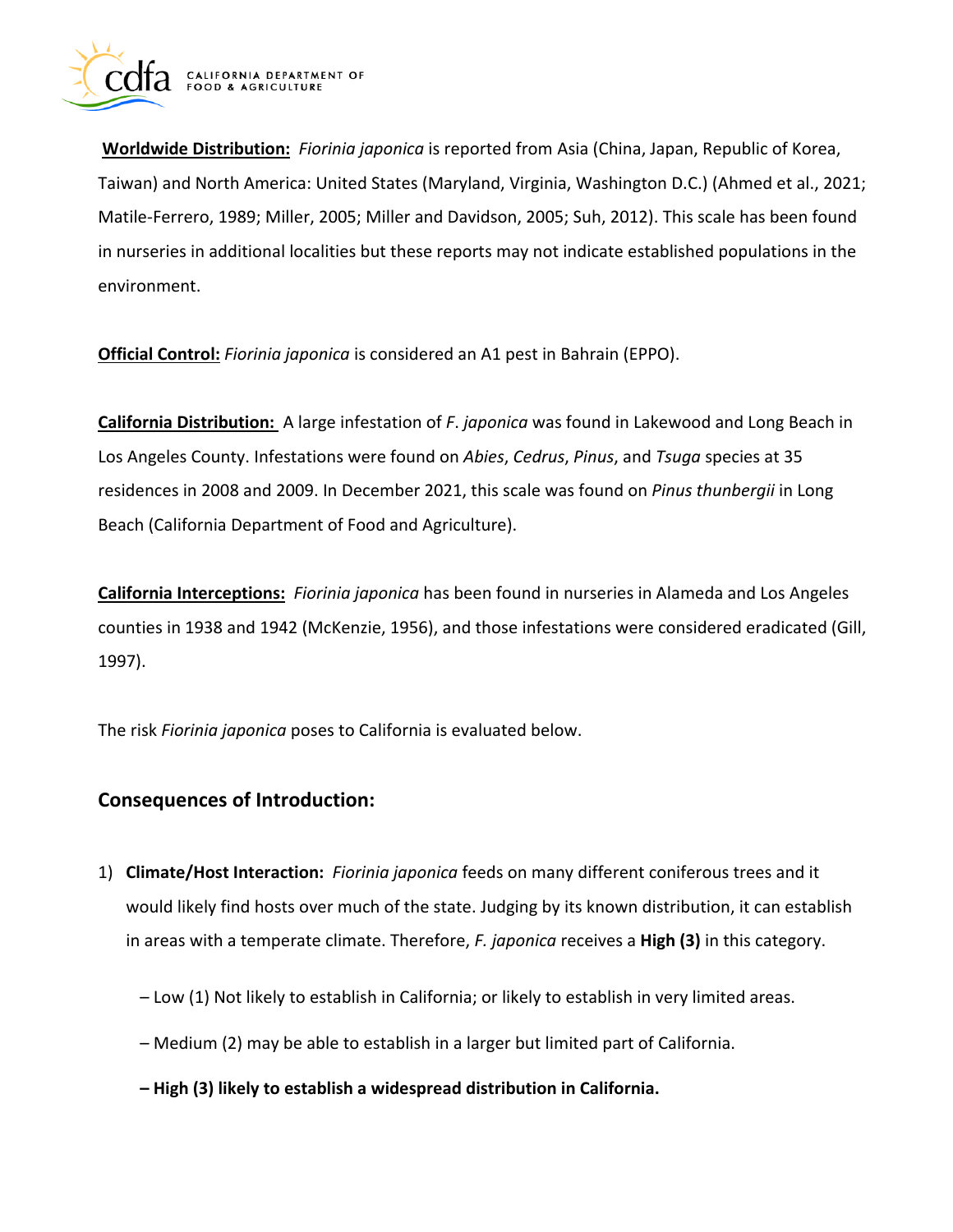

**Worldwide Distribution:** *Fiorinia japonica* is reported from Asia (China, Japan, Republic of Korea, Taiwan) and North America: United States (Maryland, Virginia, Washington D.C.) (Ahmed et al., 2021; Matile-Ferrero, 1989; Miller, 2005; Miller and Davidson, 2005; Suh, 2012). This scale has been found in nurseries in additional localities but these reports may not indicate established populations in the environment.

**Official Control:** *Fiorinia japonica* is considered an A1 pest in Bahrain (EPPO).

**California Distribution:** A large infestation of *F*. *japonica* was found in Lakewood and Long Beach in Los Angeles County. Infestations were found on *Abies*, *Cedrus*, *Pinus*, and *Tsuga* species at 35 residences in 2008 and 2009. In December 2021, this scale was found on *Pinus thunbergii* in Long Beach (California Department of Food and Agriculture).

**California Interceptions:** *Fiorinia japonica* has been found in nurseries in Alameda and Los Angeles counties in 1938 and 1942 (McKenzie, 1956), and those infestations were considered eradicated (Gill, 1997).

The risk *Fiorinia japonica* poses to California is evaluated below.

# **Consequences of Introduction:**

- 1) **Climate/Host Interaction:** *Fiorinia japonica* feeds on many different coniferous trees and it would likely find hosts over much of the state. Judging by its known distribution, it can establish in areas with a temperate climate. Therefore, *F. japonica* receives a **High (3)** in this category.
	- Low (1) Not likely to establish in California; or likely to establish in very limited areas.
	- Medium (2) may be able to establish in a larger but limited part of California.
	- **High (3) likely to establish a widespread distribution in California.**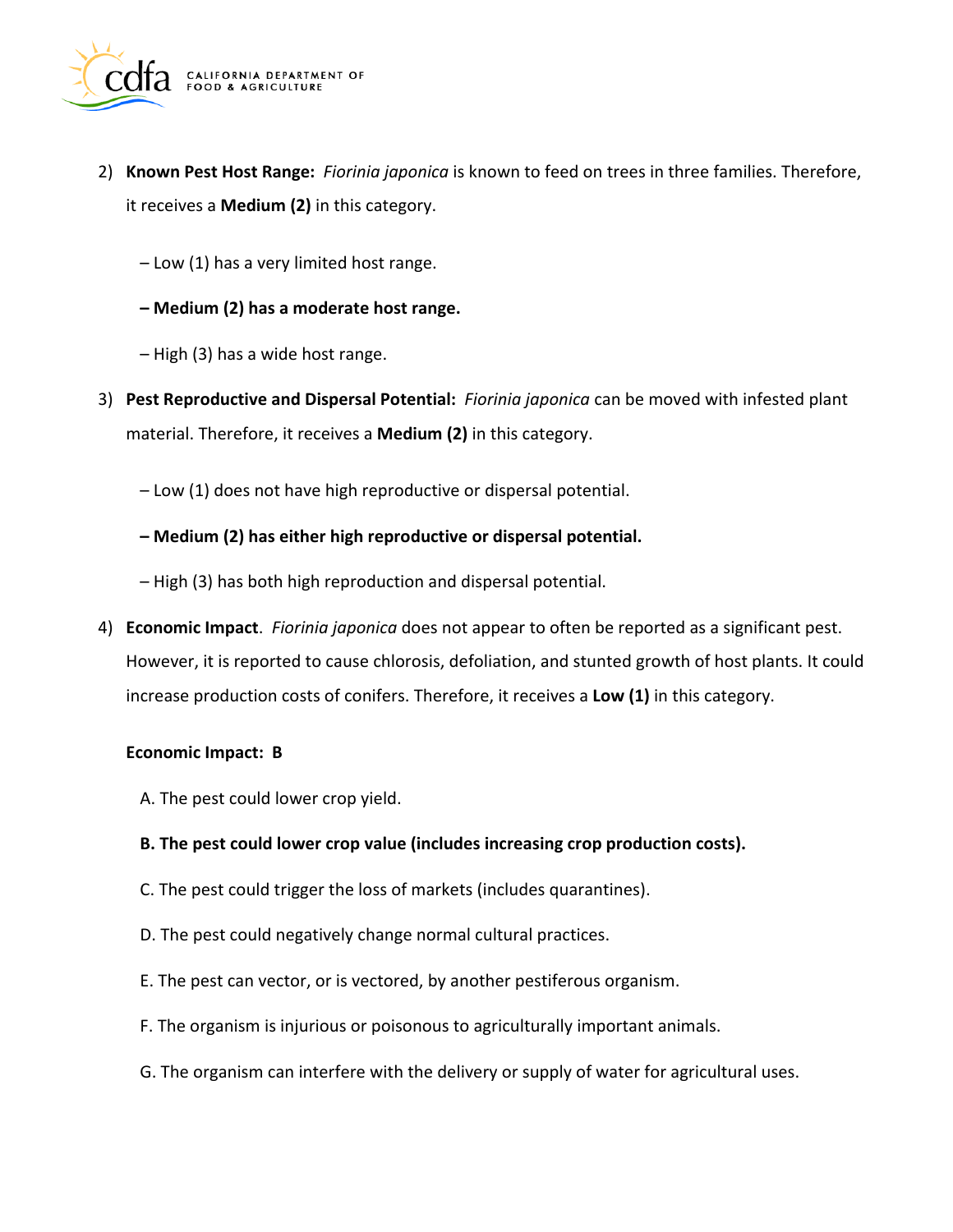

- 2) **Known Pest Host Range:** *Fiorinia japonica* is known to feed on trees in three families. Therefore, it receives a **Medium (2)** in this category.
	- Low (1) has a very limited host range.
	- **Medium (2) has a moderate host range.**
	- High (3) has a wide host range.
- 3) **Pest Reproductive and Dispersal Potential:** *Fiorinia japonica* can be moved with infested plant material. Therefore, it receives a **Medium (2)** in this category.
	- Low (1) does not have high reproductive or dispersal potential.
	- **Medium (2) has either high reproductive or dispersal potential.**
	- High (3) has both high reproduction and dispersal potential.
- 4) **Economic Impact**. *Fiorinia japonica* does not appear to often be reported as a significant pest. However, it is reported to cause chlorosis, defoliation, and stunted growth of host plants. It could increase production costs of conifers. Therefore, it receives a **Low (1)** in this category.

#### **Economic Impact: B**

- A. The pest could lower crop yield.
- **B. The pest could lower crop value (includes increasing crop production costs).**
- C. The pest could trigger the loss of markets (includes quarantines).
- D. The pest could negatively change normal cultural practices.
- E. The pest can vector, or is vectored, by another pestiferous organism.
- F. The organism is injurious or poisonous to agriculturally important animals.
- G. The organism can interfere with the delivery or supply of water for agricultural uses.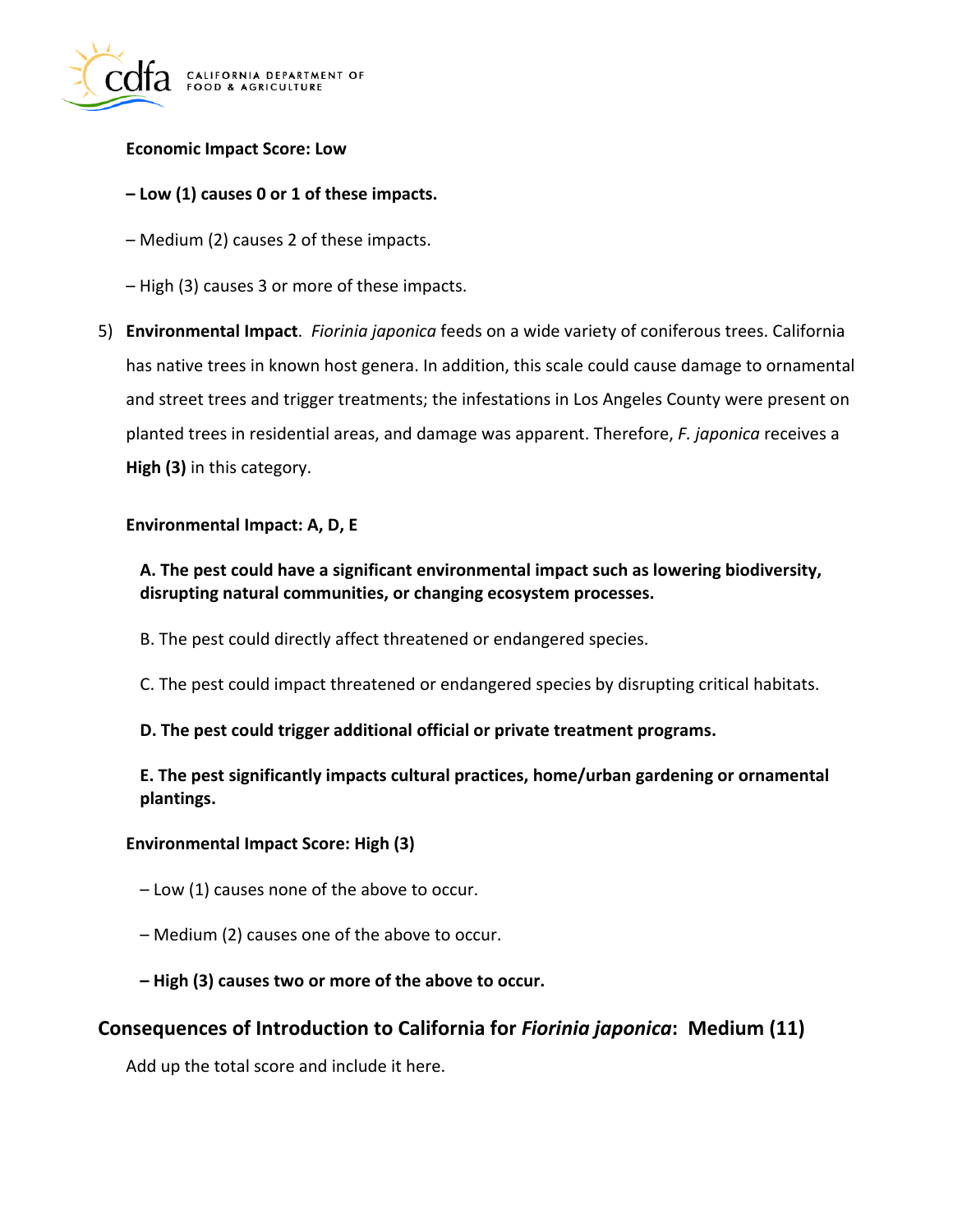

#### **Economic Impact Score: Low**

#### **– Low (1) causes 0 or 1 of these impacts.**

- Medium (2) causes 2 of these impacts.
- High (3) causes 3 or more of these impacts.
- 5) **Environmental Impact**. *Fiorinia japonica* feeds on a wide variety of coniferous trees. California has native trees in known host genera. In addition, this scale could cause damage to ornamental and street trees and trigger treatments; the infestations in Los Angeles County were present on planted trees in residential areas, and damage was apparent. Therefore, *F. japonica* receives a **High (3)** in this category.

#### **Environmental Impact: A, D, E**

### **A. The pest could have a significant environmental impact such as lowering biodiversity, disrupting natural communities, or changing ecosystem processes.**

- B. The pest could directly affect threatened or endangered species.
- C. The pest could impact threatened or endangered species by disrupting critical habitats.

#### **D. The pest could trigger additional official or private treatment programs.**

### **E. The pest significantly impacts cultural practices, home/urban gardening or ornamental plantings.**

#### **Environmental Impact Score: High (3)**

- Low (1) causes none of the above to occur.
- Medium (2) causes one of the above to occur.
- **High (3) causes two or more of the above to occur.**

# **Consequences of Introduction to California for** *Fiorinia japonica***: Medium (11)**

Add up the total score and include it here.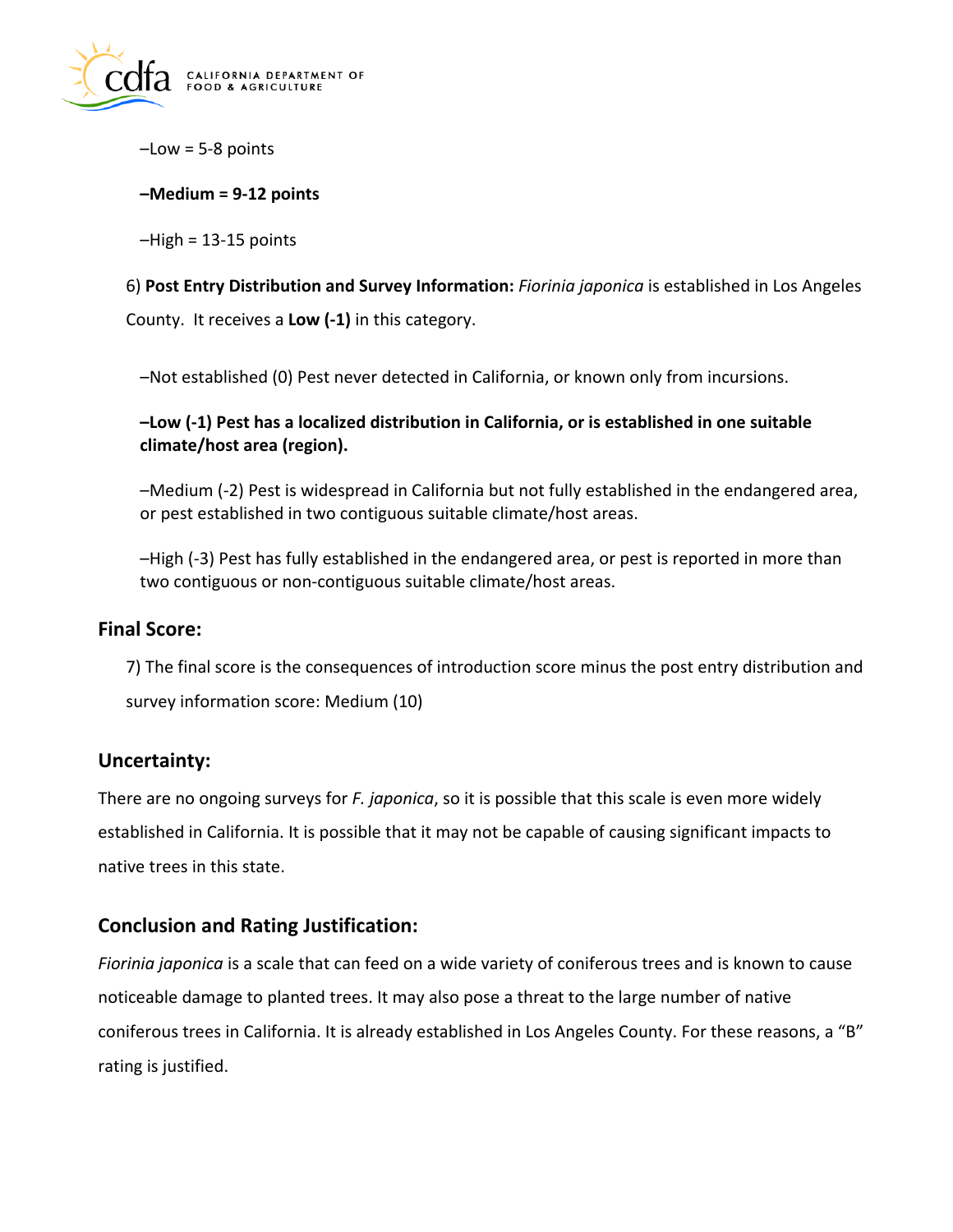

 $-Low = 5-8$  points

#### **–Medium = 9-12 points**

 $-High = 13-15$  points

6) **Post Entry Distribution and Survey Information:** *Fiorinia japonica* is established in Los Angeles County. It receives a **Low (-1)** in this category.

–Not established (0) Pest never detected in California, or known only from incursions.

### **–Low (-1) Pest has a localized distribution in California, or is established in one suitable climate/host area (region).**

–Medium (-2) Pest is widespread in California but not fully established in the endangered area, or pest established in two contiguous suitable climate/host areas.

–High (-3) Pest has fully established in the endangered area, or pest is reported in more than two contiguous or non-contiguous suitable climate/host areas.

### **Final Score:**

7) The final score is the consequences of introduction score minus the post entry distribution and survey information score: Medium (10)

# **Uncertainty:**

There are no ongoing surveys for *F. japonica*, so it is possible that this scale is even more widely established in California. It is possible that it may not be capable of causing significant impacts to native trees in this state.

# **Conclusion and Rating Justification:**

*Fiorinia japonica* is a scale that can feed on a wide variety of coniferous trees and is known to cause noticeable damage to planted trees. It may also pose a threat to the large number of native coniferous trees in California. It is already established in Los Angeles County. For these reasons, a "B" rating is justified.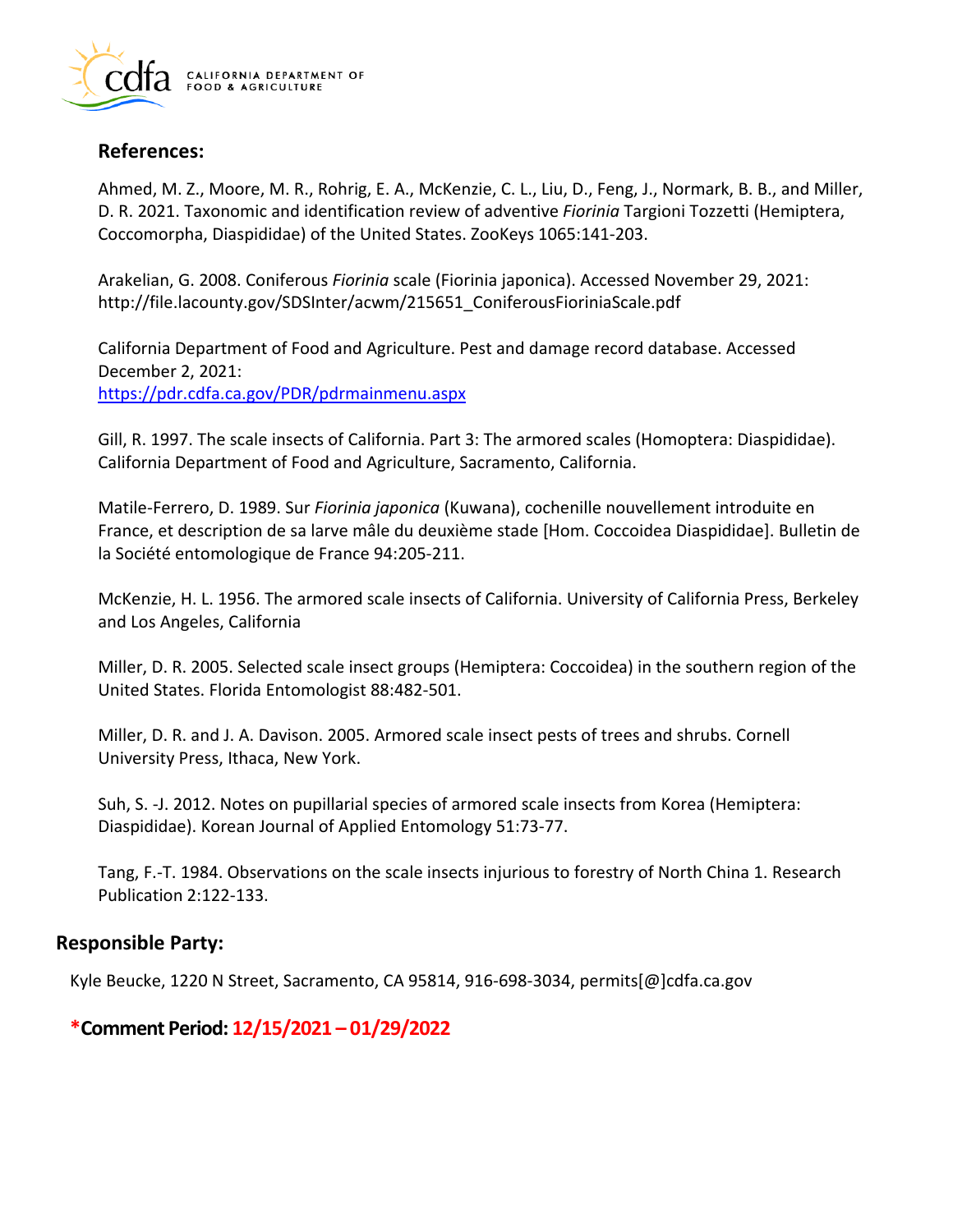

# **References:**

Ahmed, M. Z., Moore, M. R., Rohrig, E. A., McKenzie, C. L., Liu, D., Feng, J., Normark, B. B., and Miller, D. R. 2021. Taxonomic and identification review of adventive *Fiorinia* Targioni Tozzetti (Hemiptera, Coccomorpha, Diaspididae) of the United States. ZooKeys 1065:141-203.

Arakelian, G. 2008. Coniferous *Fiorinia* scale (Fiorinia japonica). Accessed November 29, 2021: [http://file.lacounty.gov/SDSInter/acwm/215651\\_ConiferousFioriniaScale.pdf](http://file.lacounty.gov/SDSInter/acwm/215651_ConiferousFioriniaScale.pdf) 

California Department of Food and Agriculture. Pest and damage record database. Accessed December 2, 2021: <https://pdr.cdfa.ca.gov/PDR/pdrmainmenu.aspx>

Gill, R. 1997. The scale insects of California. Part 3: The armored scales (Homoptera: Diaspididae). California Department of Food and Agriculture, Sacramento, California.

Matile-Ferrero, D. 1989. Sur *Fiorinia japonica* (Kuwana), cochenille nouvellement introduite en France, et description de sa larve mâle du deuxième stade [Hom. Coccoidea Diaspididae]. Bulletin de la Société entomologique de France 94:205-211.

McKenzie, H. L. 1956. The armored scale insects of California. University of California Press, Berkeley and Los Angeles, California

Miller, D. R. 2005. Selected scale insect groups (Hemiptera: Coccoidea) in the southern region of the United States. Florida Entomologist 88:482-501.

Miller, D. R. and J. A. Davison. 2005. Armored scale insect pests of trees and shrubs. Cornell University Press, Ithaca, New York.

Suh, S. -J. 2012. Notes on pupillarial species of armored scale insects from Korea (Hemiptera: Diaspididae). Korean Journal of Applied Entomology 51:73-77.

Tang, F.-T. 1984. Observations on the scale insects injurious to forestry of North China 1. Research Publication 2:122-133.

# **Responsible Party:**

Kyle Beucke, 1220 N Street, Sacramento, CA 95814, 916-698-3034, [permits\[@\]cdfa.ca.gov](https://permits[@]cdfa.ca.gov)

**\*Comment Period: 12/15/2021 – 01/29/2022**